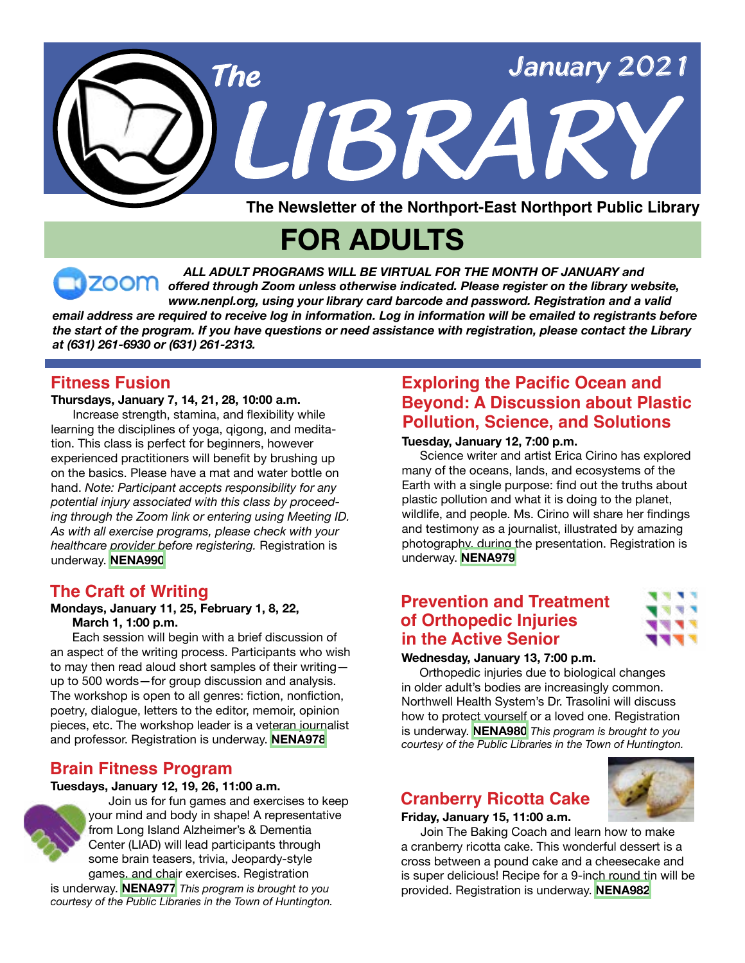

**FOR ADULTS**

*ALL ADULT PROGRAMS WILL BE VIRTUAL FOR THE MONTH OF JANUARY and offered through Zoom unless otherwise indicated. Please register on the library website, www.nenpl.org, using your library card barcode and password. Registration and a valid email address are required to receive log in information. Log in information will be emailed to registrants before the start of the program. If you have questions or need assistance with registration, please contact the Library at (631) 261-6930 or (631) 261-2313.*

#### **Fitness Fusion**

**Thursdays, January 7, 14, 21, 28, 10:00 a.m.**  Increase strength, stamina, and flexibility while learning the disciplines of yoga, qigong, and meditation. This class is perfect for beginners, however experienced practitioners will benefit by brushing up on the basics. Please have a mat and water bottle on hand. *Note: Participant accepts responsibility for any potential injury associated with this class by proceeding through the Zoom link or entering using Meeting ID. As with all exercise programs, please check with your healthcare provider before registering.* Registration is underway. **[NENA990](https://search.livebrary.com/record=g1102505~S43)**

#### **The Craft of Writing**

#### **Mondays, January 11, 25, February 1, 8, 22, March 1, 1:00 p.m.**

 Each session will begin with a brief discussion of an aspect of the writing process. Participants who wish to may then read aloud short samples of their writing up to 500 words—for group discussion and analysis. The workshop is open to all genres: fiction, nonfiction, poetry, dialogue, letters to the editor, memoir, opinion pieces, etc. The workshop leader is a veteran journalist and professor. Registration is underway. **[NENA978](https://search.livebrary.com/record=g1102185~S43)**

#### **Brain Fitness Program**

#### **Tuesdays, January 12, 19, 26, 11:00 a.m.**



 Join us for fun games and exercises to keep your mind and body in shape! A representative from Long Island Alzheimer's & Dementia Center (LIAD) will lead participants through some brain teasers, trivia, Jeopardy-style games, and chair exercises. Registration

is underway. **[NENA977](https://search.livebrary.com/record=g1102190~S43)** *This program is brought to you courtesy of the Public Libraries in the Town of Huntington.*

## **Exploring the Pacific Ocean and Beyond: A Discussion about Plastic Pollution, Science, and Solutions**

#### **Tuesday, January 12, 7:00 p.m.**

 Science writer and artist Erica Cirino has explored many of the oceans, lands, and ecosystems of the Earth with a single purpose: find out the truths about plastic pollution and what it is doing to the planet, wildlife, and people. Ms. Cirino will share her findings and testimony as a journalist, illustrated by amazing photography, during the presentation. Registration is underway. **[NENA979](https://search.livebrary.com/record=g1102370~S43)**

### **Prevention and Treatment of Orthopedic Injuries in the Active Senior**



#### **Wednesday, January 13, 7:00 p.m.**

 Orthopedic injuries due to biological changes in older adult's bodies are increasingly common. Northwell Health System's Dr. Trasolini will discuss how to protect yourself or a loved one. Registration is underway. **[NENA980](https://search.livebrary.com/record=g1102628~S43)** *This program is brought to you courtesy of the Public Libraries in the Town of Huntington.*

#### **Cranberry Ricotta Cake**

#### **Friday, January 15, 11:00 a.m.**

 Join The Baking Coach and learn how to make a cranberry ricotta cake. This wonderful dessert is a cross between a pound cake and a cheesecake and is super delicious! Recipe for a 9-inch round tin will be provided. Registration is underway. **[NENA982](https://search.livebrary.com/record=g1102371~S43)**

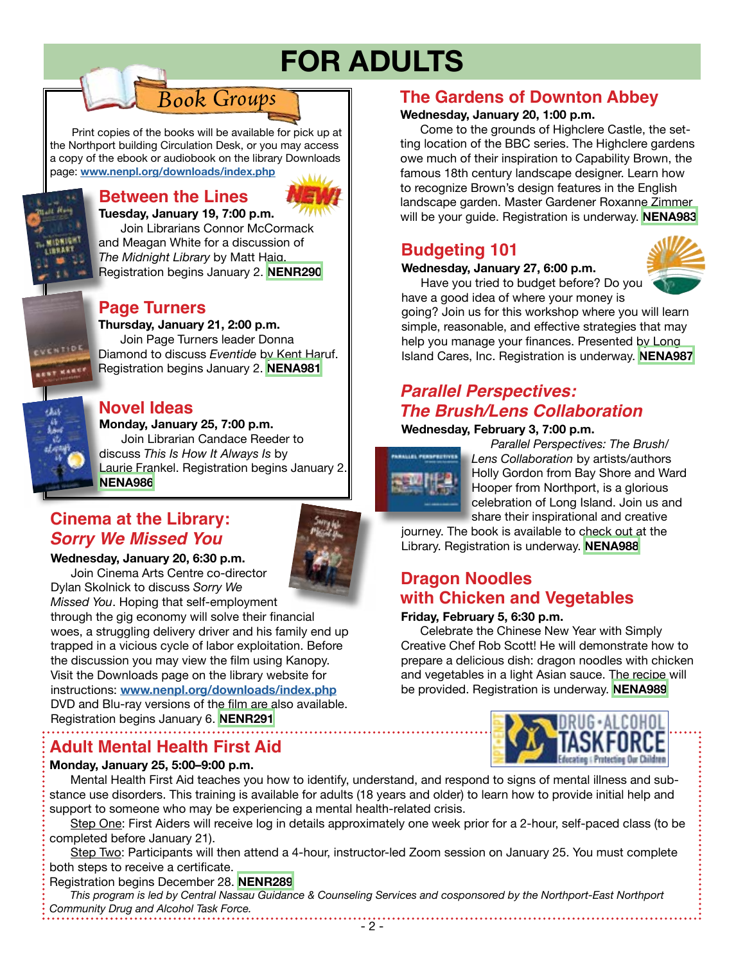## **FOR ADULTS**

Print copies of the books will be available for pick up at the Northport building Circulation Desk, or you may access a copy of the ebook or audiobook on the library Downloads page: **[www.nenpl.org/downloads/index.php](http://www.nenpl.org/downloads/index.php)**

*Book Groups*

## **Between the Lines**



**Tuesday, January 19, 7:00 p.m.** Join Librarians Connor McCormack and Meagan White for a discussion of *The Midnight Library* by Matt Haig. Registration begins January 2. **[NENR290](https://search.livebrary.com/record=g1102389~S43)**

#### **Page Turners**

or Want

VENTIDE

**Thursday, January 21, 2:00 p.m.** Join Page Turners leader Donna Diamond to discuss *Eventide* by Kent Haruf. Registration begins January 2. **[NENA981](https://search.livebrary.com/record=g1102373~S43)**

#### **Novel Ideas**

**Monday, January 25, 7:00 p.m.** Join Librarian Candace Reeder to discuss *This Is How It Always Is* by Laurie Frankel. Registration begins January 2. **[NENA986](https://search.livebrary.com/record=g1102374~S43)**

## **Cinema at the Library:** *Sorry We Missed You*



**Wednesday, January 20, 6:30 p.m.** Join Cinema Arts Centre co-director Dylan Skolnick to discuss *Sorry We* 

*Missed You*. Hoping that self-employment through the gig economy will solve their financial woes, a struggling delivery driver and his family end up trapped in a vicious cycle of labor exploitation. Before the discussion you may view the film using Kanopy. Visit the Downloads page on the library website for instructions: **[www.nenpl.org/downloads/index.php](http://www.nenpl.org/downloads/index.php)** DVD and Blu-ray versions of the film are also available.

Registration begins January 6. **[NENR291](https://search.livebrary.com/record=g1100063~S43)**

## **Adult Mental Health First Aid**

#### **Monday, January 25, 5:00–9:00 p.m.**

#### **The Gardens of Downton Abbey**

#### **Wednesday, January 20, 1:00 p.m.**

 Come to the grounds of Highclere Castle, the setting location of the BBC series. The Highclere gardens owe much of their inspiration to Capability Brown, the famous 18th century landscape designer. Learn how to recognize Brown's design features in the English landscape garden. Master Gardener Roxanne Zimmer will be your guide. Registration is underway. **[NENA983](https://search.livebrary.com/record=g1102372~S43)**

## **Budgeting 101**

#### **Wednesday, January 27, 6:00 p.m.**

Have you tried to budget before? Do you



have a good idea of where your money is going? Join us for this workshop where you will learn simple, reasonable, and effective strategies that may help you manage your finances. Presented by Long Island Cares, Inc. Registration is underway. **[NENA987](https://search.livebrary.com/record=g1102383~S43)**

## *Parallel Perspectives: The Brush/Lens Collaboration*

#### **Wednesday, February 3, 7:00 p.m.**



 *Parallel Perspectives: The Brush/ Lens Collaboration* by artists/authors Holly Gordon from Bay Shore and Ward Hooper from Northport, is a glorious celebration of Long Island. Join us and share their inspirational and creative

journey. The book is available to check out at the Library. Registration is underway. **[NENA988](https://search.livebrary.com/record=g1102385~S43)** 

## **Dragon Noodles with Chicken and Vegetables**

#### **Friday, February 5, 6:30 p.m.**

 Celebrate the Chinese New Year with Simply Creative Chef Rob Scott! He will demonstrate how to prepare a delicious dish: dragon noodles with chicken and vegetables in a light Asian sauce. The recipe will be provided. Registration is underway. **[NENA989](https://search.livebrary.com/record=g1102386~S43)**



 Mental Health First Aid teaches you how to identify, understand, and respond to signs of mental illness and substance use disorders. This training is available for adults (18 years and older) to learn how to provide initial help and support to someone who may be experiencing a mental health-related crisis.

 Step One: First Aiders will receive log in details approximately one week prior for a 2-hour, self-paced class (to be completed before January 21).

 Step Two: Participants will then attend a 4-hour, instructor-led Zoom session on January 25. You must complete both steps to receive a certificate.

#### Registration begins December 28. **[NENR289](https://search.livebrary.com/record=g1101844~S43)**

 *This program is led by Central Nassau Guidance & Counseling Services and cosponsored by the Northport-East Northport Community Drug and Alcohol Task Force.*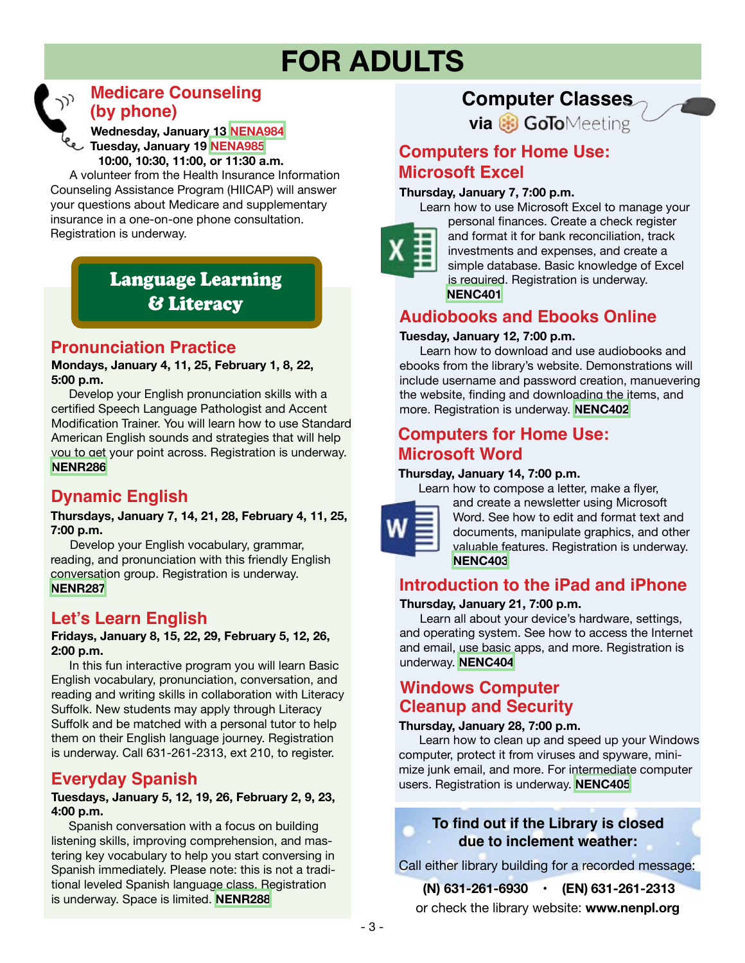## **FOR ADULTS**



## **Medicare Counseling (by phone)**

 **Wednesday, January 13 [NENA984](https://search.livebrary.com/record=g1102391~S43) Tuesday, January 19 [NENA985](https://search.livebrary.com/record=g1102514~S43) 10:00, 10:30, 11:00, or 11:30 a.m.**

 A volunteer from the Health Insurance Information Counseling Assistance Program (HIICAP) will answer your questions about Medicare and supplementary insurance in a one-on-one phone consultation. Registration is underway.

## Language Learning & Literacy

## **Pronunciation Practice**

**Mondays, January 4, 11, 25, February 1, 8, 22, 5:00 p.m.**

Develop your English pronunciation skills with a certified Speech Language Pathologist and Accent Modification Trainer. You will learn how to use Standard American English sounds and strategies that will help you to get your point across. Registration is underway. **[NENR286](https://search.livebrary.com/record=g1100864~S43)**

## **Dynamic English**

**Thursdays, January 7, 14, 21, 28, February 4, 11, 25, 7:00 p.m.**

 Develop your English vocabulary, grammar, reading, and pronunciation with this friendly English conversation group. Registration is underway. **[NENR287](https://search.livebrary.com/record=g1100908~S43)**

## **Let's Learn English**

#### **Fridays, January 8, 15, 22, 29, February 5, 12, 26, 2:00 p.m.**

In this fun interactive program you will learn Basic English vocabulary, pronunciation, conversation, and reading and writing skills in collaboration with Literacy Suffolk. New students may apply through Literacy Suffolk and be matched with a personal tutor to help them on their English language journey. Registration is underway. Call 631-261-2313, ext 210, to register.

## **Everyday Spanish**

#### **Tuesdays, January 5, 12, 19, 26, February 2, 9, 23, 4:00 p.m.**

Spanish conversation with a focus on building listening skills, improving comprehension, and mastering key vocabulary to help you start conversing in Spanish immediately. Please note: this is not a traditional leveled Spanish language class. Registration is underway. Space is limited. **[NENR288](https://search.livebrary.com/record=g1100907~S43)**

## **Computer Classes**

**via & GoTo**Meeting

### **Computers for Home Use: Microsoft Excel**

#### **Thursday, January 7, 7:00 p.m.**



 Learn how to use Microsoft Excel to manage your personal finances. Create a check register and format it for bank reconciliation, track investments and expenses, and create a simple database. Basic knowledge of Excel is required. Registration is underway. **[NENC401](https://search.livebrary.com/record=g1100159~S43)**

## **Audiobooks and Ebooks Online**

#### **Tuesday, January 12, 7:00 p.m.**

 Learn how to download and use audiobooks and ebooks from the library's website. Demonstrations will include username and password creation, manuevering the website, finding and downloading the items, and more. Registration is underway. **[NENC402](https://search.livebrary.com/record=g1087108~S43)**

#### **Computers for Home Use: Microsoft Word**

#### **Thursday, January 14, 7:00 p.m.**

Learn how to compose a letter, make a flyer,



and create a newsletter using Microsoft Word. See how to edit and format text and documents, manipulate graphics, and other valuable features. Registration is underway. **[NENC403](https://search.livebrary.com/record=g1100042~S43)**

## **Introduction to the iPad and iPhone**

#### **Thursday, January 21, 7:00 p.m.**

 Learn all about your device's hardware, settings, and operating system. See how to access the Internet and email, use basic apps, and more. Registration is underway. **[NENC404](https://search.livebrary.com/record=g1101338~S43)**

## **Windows Computer Cleanup and Security**

#### **Thursday, January 28, 7:00 p.m.**

 Learn how to clean up and speed up your Windows computer, protect it from viruses and spyware, minimize junk email, and more. For intermediate computer users. Registration is underway. **[NENC405](https://search.livebrary.com/record=g1087103~S43)**

#### **To find out if the Library is closed due to inclement weather:**

Call either library building for a recorded message:

or check the library website: **www.nenpl.org (N) 631-261-6930 • (EN) 631-261-2313**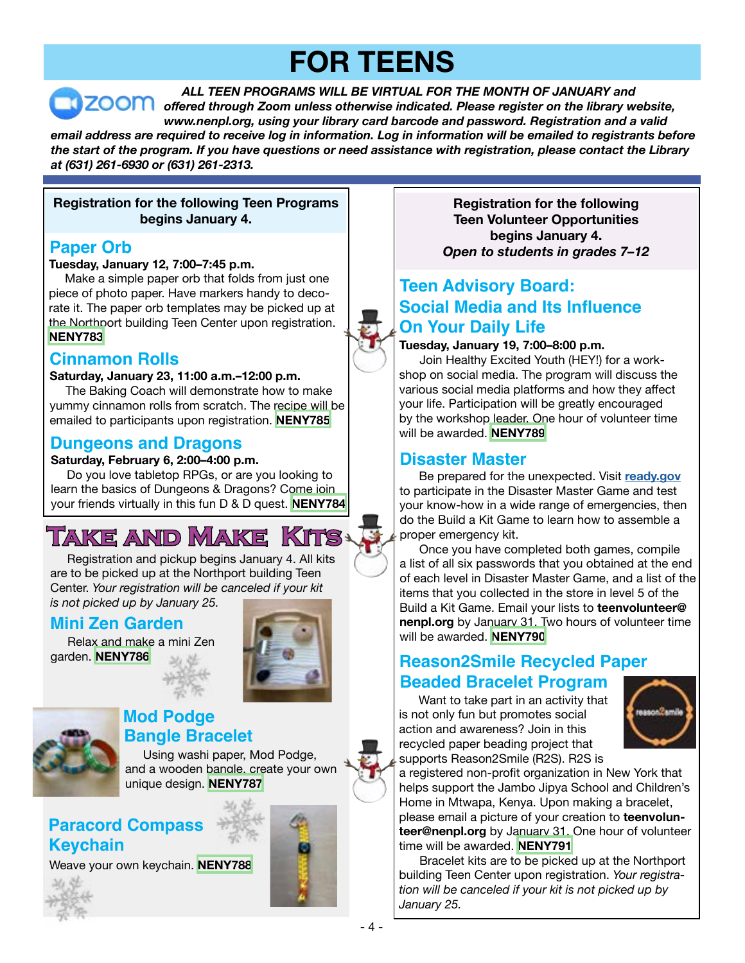## **FOR TEENS**

*ALL TEEN PROGRAMS WILL BE VIRTUAL FOR THE MONTH OF JANUARY and offered through Zoom unless otherwise indicated. Please register on the library website, www.nenpl.org, using your library card barcode and password. Registration and a valid email address are required to receive log in information. Log in information will be emailed to registrants before the start of the program. If you have questions or need assistance with registration, please contact the Library at (631) 261-6930 or (631) 261-2313.*

#### **Registration for the following Teen Programs begins January 4.**

## **Paper Orb**

#### **Tuesday, January 12, 7:00–7:45 p.m.**

Make a simple paper orb that folds from just one piece of photo paper. Have markers handy to decorate it. The paper orb templates may be picked up at the Northport building Teen Center upon registration. **[NENY783](https://search.livebrary.com/record=g1102556~S43)**

## **Cinnamon Rolls**

#### **Saturday, January 23, 11:00 a.m.–12:00 p.m.**

The Baking Coach will demonstrate how to make yummy cinnamon rolls from scratch. The recipe will be emailed to participants upon registration. **[NENY785](https://search.livebrary.com/record=g1102559~S43)**

#### **Dungeons and Dragons**

#### **Saturday, February 6, 2:00–4:00 p.m.**

Do you love tabletop RPGs, or are you looking to learn the basics of Dungeons & Dragons? Come join your friends virtually in this fun D & D quest. **[NENY784](https://search.livebrary.com/record=g1102592~S43)**

## **Take and Make Kits**

 Registration and pickup begins January 4. All kits are to be picked up at the Northport building Teen Center. *Your registration will be canceled if your kit is not picked up by January 25.*

## **Mini Zen Garden**

 Relax and make a mini Zen garden. **[NENY786](https://search.livebrary.com/record=g1102593~S43)**





#### **Mod Podge Bangle Bracelet**

 Using washi paper, Mod Podge, and a wooden bangle, create your own unique design. **[NENY787](https://search.livebrary.com/record=g1102595~S43)**

## **Paracord Compass Keychain**

Weave your own keychain. **[NENY788](https://search.livebrary.com/record=g1102596~S43)** 



**Registration for the following Teen Volunteer Opportunities begins January 4.** *Open to students in grades 7–12*

## **Teen Advisory Board: Social Media and Its Influence On Your Daily Life**

#### **Tuesday, January 19, 7:00–8:00 p.m.**

 Join Healthy Excited Youth (HEY!) for a workshop on social media. The program will discuss the various social media platforms and how they affect your life. Participation will be greatly encouraged by the workshop leader. One hour of volunteer time will be awarded. **[NENY789](https://search.livebrary.com/record=g1102631~S43)**

## **Disaster Master**

 Be prepared for the unexpected. Visit **[ready.gov](https://www.ready.gov/)** to participate in the Disaster Master Game and test your know-how in a wide range of emergencies, then do the Build a Kit Game to learn how to assemble a proper emergency kit.

 Once you have completed both games, compile a list of all six passwords that you obtained at the end of each level in Disaster Master Game, and a list of the items that you collected in the store in level 5 of the Build a Kit Game. Email your lists to **teenvolunteer@ nenpl.org** by January 31. Two hours of volunteer time will be awarded. **[NENY790](https://search.livebrary.com/record=g1102633~S43)**

## **Reason2Smile Recycled Paper Beaded Bracelet Program**

 Want to take part in an activity that is not only fun but promotes social action and awareness? Join in this recycled paper beading project that supports Reason2Smile (R2S). R2S is



a registered non-profit organization in New York that helps support the Jambo Jipya School and Children's Home in Mtwapa, Kenya. Upon making a bracelet, please email a picture of your creation to **teenvolunteer@nenpl.org** by January 31. One hour of volunteer time will be awarded. **[NENY791](https://search.livebrary.com/record=g1102635~S43)**

 Bracelet kits are to be picked up at the Northport building Teen Center upon registration. *Your registration will be canceled if your kit is not picked up by January 25.*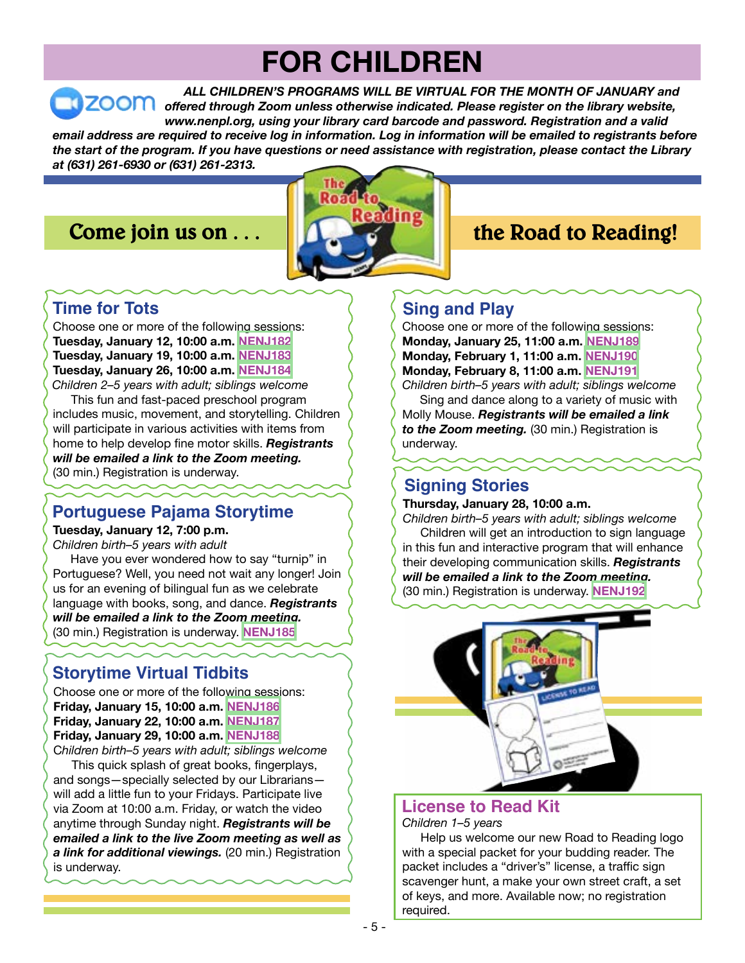## **FOR CHILDREN**

*ALL CHILDREN'S PROGRAMS WILL BE VIRTUAL FOR THE MONTH OF JANUARY and offered through Zoom unless otherwise indicated. Please register on the library website, www.nenpl.org, using your library card barcode and password. Registration and a valid email address are required to receive log in information. Log in information will be emailed to registrants before the start of the program. If you have questions or need assistance with registration, please contact the Library* 

*at (631) 261-6930 or (631) 261-2313.*

## **Come join us on . . .**



## **the Road to Reading!**

## **Time for Tots**

Choose one or more of the following sessions: **Tuesday, January 12, 10:00 a.m. [NENJ182](https://search.livebrary.com/record=g1102191~S43) Tuesday, January 19, 10:00 a.m. [NENJ183](https://search.livebrary.com/record=g1102414~S43) Tuesday, January 26, 10:00 a.m. [NENJ184](https://search.livebrary.com/record=g1102415~S43)** *Children 2–5 years with adult; siblings welcome*

 This fun and fast-paced preschool program includes music, movement, and storytelling. Children will participate in various activities with items from home to help develop fine motor skills. *Registrants will be emailed a link to the Zoom meeting.* (30 min.) Registration is underway.

## **Portuguese Pajama Storytime**

#### **Tuesday, January 12, 7:00 p.m.**

*Children birth–5 years with adult*

 Have you ever wondered how to say "turnip" in Portuguese? Well, you need not wait any longer! Join us for an evening of bilingual fun as we celebrate language with books, song, and dance. *Registrants will be emailed a link to the Zoom meeting.* (30 min.) Registration is underway. **[NENJ185](https://search.livebrary.com/record=g1102413~S43)**

## **Storytime Virtual Tidbits**

Choose one or more of the following sessions: **Friday, January 15, 10:00 a.m. [NENJ186](https://search.livebrary.com/record=g1102259~S43) Friday, January 22, 10:00 a.m. [NENJ187](https://search.livebrary.com/record=g1102260~S43) Friday, January 29, 10:00 a.m. [NENJ188](https://search.livebrary.com/record=g1102264~S43)** C*hildren birth–5 years with adult; siblings welcome*

 This quick splash of great books, fingerplays, and songs—specially selected by our Librarians will add a little fun to your Fridays. Participate live via Zoom at 10:00 a.m. Friday, or watch the video anytime through Sunday night. *Registrants will be emailed a link to the live Zoom meeting as well as a link for additional viewings.* (20 min.) Registration is underway.

## **Sing and Play**

Choose one or more of the following sessions: **Monday, January 25, 11:00 a.m. [NENJ189](https://search.livebrary.com/record=g1102271~S43) Monday, February 1, 11:00 a.m. [NENJ190](https://search.livebrary.com/record=g1102272~S43) Monday, February 8, 11:00 a.m. [NENJ191](https://search.livebrary.com/record=g1102273~S43)**

*Children birth–5 years with adult; siblings welcome* Sing and dance along to a variety of music with Molly Mouse. *Registrants will be emailed a link*

*to the Zoom meeting.* (30 min.) Registration is underway.

## **Signing Stories**

**Thursday, January 28, 10:00 a.m.** 

*Children birth–5 years with adult; siblings welcome* Children will get an introduction to sign language in this fun and interactive program that will enhance their developing communication skills. *Registrants will be emailed a link to the Zoom meeting.* (30 min.) Registration is underway. **[NENJ192](https://search.livebrary.com/record=g1102194~S43)**



## **License to Read Kit**

*Children 1–5 years*

 Help us welcome our new Road to Reading logo with a special packet for your budding reader. The packet includes a "driver's" license, a traffic sign scavenger hunt, a make your own street craft, a set of keys, and more. Available now; no registration required.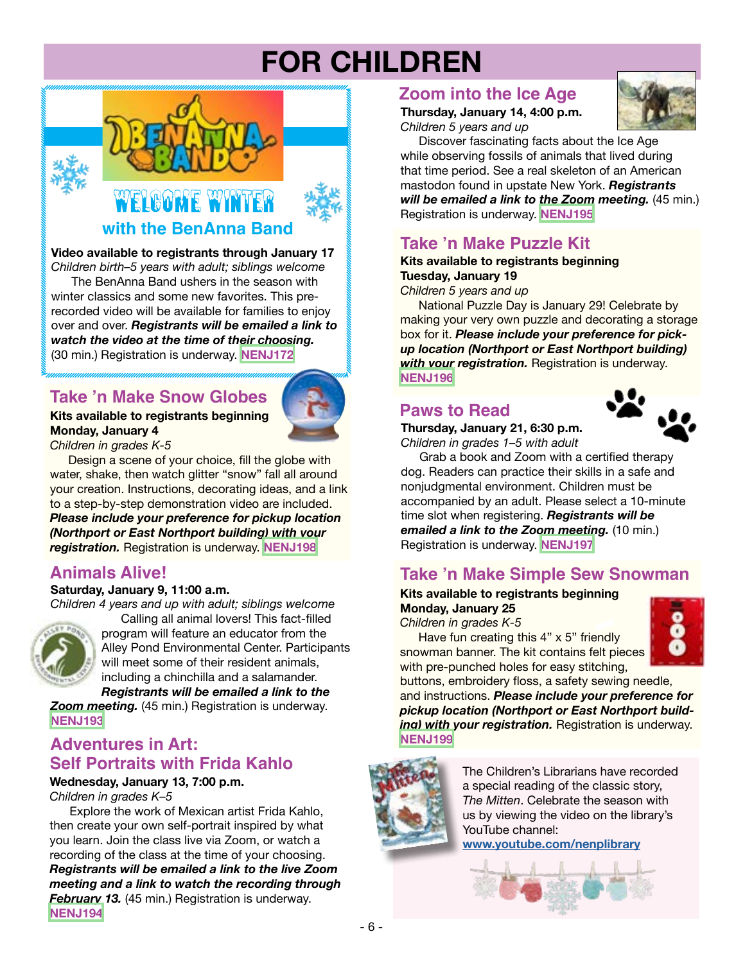## **FOR CHILDREN**



#### **with the BenAnna Band**

**Video available to registrants through January 17**

*Children birth–5 years with adult; siblings welcome* The BenAnna Band ushers in the season with winter classics and some new favorites. This prerecorded video will be available for families to enjoy over and over. *Registrants will be emailed a link to watch the video at the time of their choosing.* (30 min.) Registration is underway. **[NENJ172](https://search.livebrary.com/record=g1101493~S43)**

## **Take 'n Make Snow Globes**

#### **Kits available to registrants beginning Monday, January 4**

*Children in grades K-5*

Design a scene of your choice, fill the globe with water, shake, then watch glitter "snow" fall all around your creation. Instructions, decorating ideas, and a link to a step-by-step demonstration video are included. *Please include your preference for pickup location (Northport or East Northport building) with your registration.* Registration is underway. **[NENJ198](https://search.livebrary.com/record=g1101493~S43)**

## **Animals Alive!**

#### **Saturday, January 9, 11:00 a.m.**

*Children 4 years and up with adult; siblings welcome*



Calling all animal lovers! This fact-filled program will feature an educator from the Alley Pond Environmental Center. Participants will meet some of their resident animals, including a chinchilla and a salamander.

*Registrants will be emailed a link to the Zoom meeting.* (45 min.) Registration is underway. **[NENJ193](https://search.livebrary.com/record=g1101492~S43)**

#### **Adventures in Art: Self Portraits with Frida Kahlo**

**Wednesday, January 13, 7:00 p.m.**

*Children in grades K–5*

Explore the work of Mexican artist Frida Kahlo, then create your own self-portrait inspired by what you learn. Join the class live via Zoom, or watch a recording of the class at the time of your choosing. *Registrants will be emailed a link to the live Zoom meeting and a link to watch the recording through February 13.* (45 min.) Registration is underway. **[NENJ194](https://search.livebrary.com/record=g1102165~S43)**

### **Zoom into the Ice Age**

#### **Thursday, January 14, 4:00 p.m.** *Children 5 years and up*



Discover fascinating facts about the Ice Age while observing fossils of animals that lived during that time period. See a real skeleton of an American mastodon found in upstate New York. *Registrants will be emailed a link to the Zoom meeting.* (45 min.) Registration is underway. **[NENJ195](https://search.livebrary.com/record=g1102166~S43)**

## **Take 'n Make Puzzle Kit**

#### **Kits available to registrants beginning Tuesday, January 19**

*Children 5 years and up*

National Puzzle Day is January 29! Celebrate by making your very own puzzle and decorating a storage box for it. *Please include your preference for pickup location (Northport or East Northport building) with your registration.* Registration is underway. **[NENJ196](https://search.livebrary.com/record=g1102173~S43)**

## **Paws to Read**

**Thursday, January 21, 6:30 p.m.** *Children in grades 1–5 with adult*



 Grab a book and Zoom with a certified therapy dog. Readers can practice their skills in a safe and nonjudgmental environment. Children must be accompanied by an adult. Please select a 10-minute time slot when registering. *Registrants will be emailed a link to the Zoom meeting.* (10 min.) Registration is underway. **[NENJ197](https://search.livebrary.com/record=g1102175~S43)**

## **Take 'n Make Simple Sew Snowman**

#### **Kits available to registrants beginning Monday, January 25**

*Children in grades K-5*

Have fun creating this 4" x 5" friendly snowman banner. The kit contains felt pieces with pre-punched holes for easy stitching,



buttons, embroidery floss, a safety sewing needle, and instructions. *Please include your preference for pickup location (Northport or East Northport building) with your registration.* Registration is underway. **[NENJ199](https://search.livebrary.com/record=g1102172~S43)**



The Children's Librarians have recorded a special reading of the classic story, *The Mitten*. Celebrate the season with us by viewing the video on the library's YouTube channel:

**[www.youtube.com/nenplibrary](https://www.youtube.com/user/Nenplibrary)**

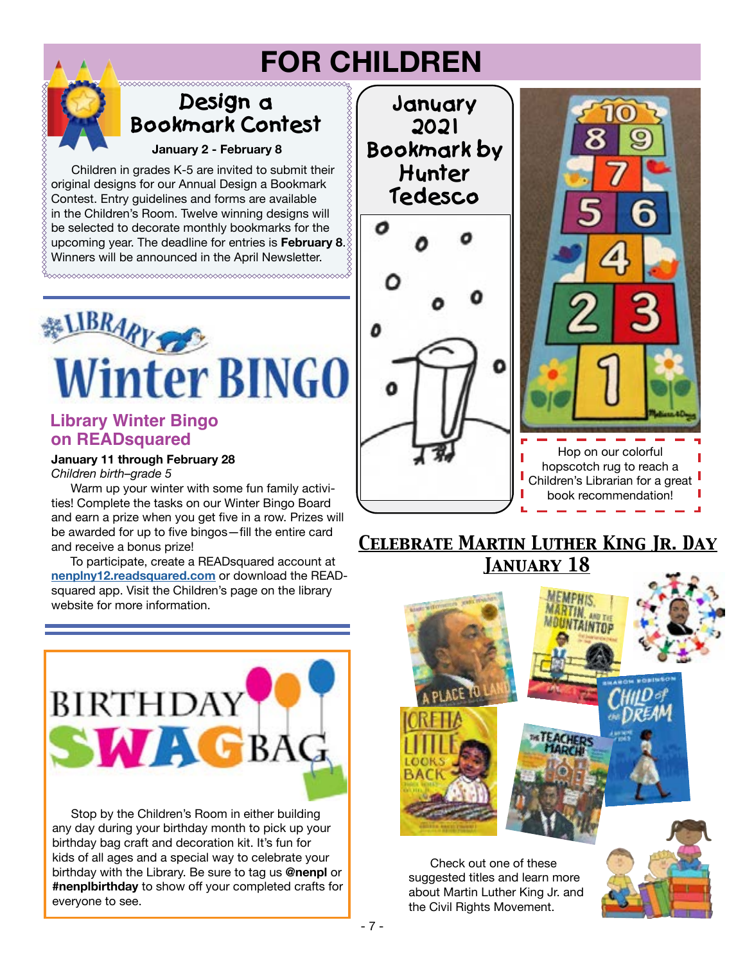## **FOR CHILDREN**

## **Design a Bookmark Contest**

**January 2 - February 8**

 Children in grades K-5 are invited to submit their original designs for our Annual Design a Bookmark Contest. Entry guidelines and forms are available in the Children's Room. Twelve winning designs will be selected to decorate monthly bookmarks for the upcoming year. The deadline for entries is **February 8**. Winners will be announced in the April Newsletter.



#### **Library Winter Bingo on READsquared**

**January 11 through February 28** *Children birth–grade 5*

Warm up your winter with some fun family activities! Complete the tasks on our Winter Bingo Board and earn a prize when you get five in a row. Prizes will be awarded for up to five bingos—fill the entire card and receive a bonus prize!

 To participate, create a READsquared account at **[nenplny12.readsquared.com](http://nenplny12.readsquared.com/)** or download the READsquared app. Visit the Children's page on the library website for more information



 Stop by the Children's Room in either building any day during your birthday month to pick up your birthday bag craft and decoration kit. It's fun for kids of all ages and a special way to celebrate your birthday with the Library. Be sure to tag us **@nenpl** or **#nenplbirthday** to show off your completed crafts for everyone to see.



## *Celebrate Martin Luther King Jr. Day January 18*



 Check out one of these suggested titles and learn more about Martin Luther King Jr. and the Civil Rights Movement.